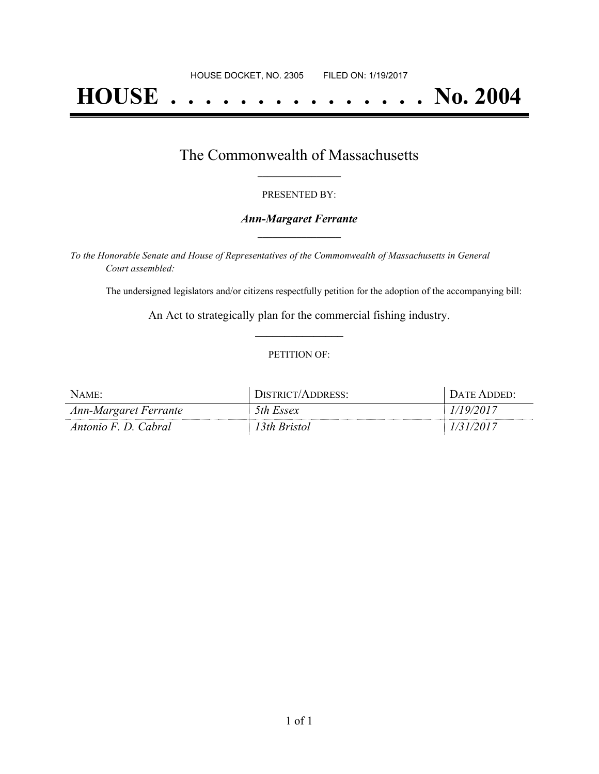# **HOUSE . . . . . . . . . . . . . . . No. 2004**

## The Commonwealth of Massachusetts **\_\_\_\_\_\_\_\_\_\_\_\_\_\_\_\_\_**

#### PRESENTED BY:

#### *Ann-Margaret Ferrante* **\_\_\_\_\_\_\_\_\_\_\_\_\_\_\_\_\_**

*To the Honorable Senate and House of Representatives of the Commonwealth of Massachusetts in General Court assembled:*

The undersigned legislators and/or citizens respectfully petition for the adoption of the accompanying bill:

An Act to strategically plan for the commercial fishing industry. **\_\_\_\_\_\_\_\_\_\_\_\_\_\_\_**

#### PETITION OF:

| NAME                  | /ADDRESS:<br>/T^IGTPIN | JATE ADDED. |
|-----------------------|------------------------|-------------|
| Ann-Margaret Ferrante | 5th Essex              |             |
| Antonio F. D. Cabral  | 3th Bristol            |             |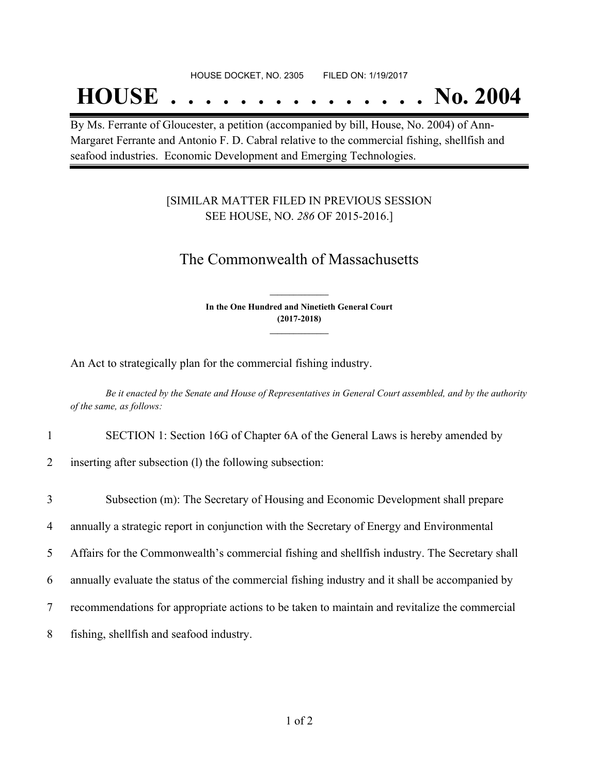#### HOUSE DOCKET, NO. 2305 FILED ON: 1/19/2017

## **HOUSE . . . . . . . . . . . . . . . No. 2004**

By Ms. Ferrante of Gloucester, a petition (accompanied by bill, House, No. 2004) of Ann-Margaret Ferrante and Antonio F. D. Cabral relative to the commercial fishing, shellfish and seafood industries. Economic Development and Emerging Technologies.

### [SIMILAR MATTER FILED IN PREVIOUS SESSION SEE HOUSE, NO. *286* OF 2015-2016.]

## The Commonwealth of Massachusetts

**In the One Hundred and Ninetieth General Court (2017-2018) \_\_\_\_\_\_\_\_\_\_\_\_\_\_\_**

**\_\_\_\_\_\_\_\_\_\_\_\_\_\_\_**

An Act to strategically plan for the commercial fishing industry.

Be it enacted by the Senate and House of Representatives in General Court assembled, and by the authority *of the same, as follows:*

1 SECTION 1: Section 16G of Chapter 6A of the General Laws is hereby amended by

2 inserting after subsection (l) the following subsection:

 Subsection (m): The Secretary of Housing and Economic Development shall prepare annually a strategic report in conjunction with the Secretary of Energy and Environmental Affairs for the Commonwealth's commercial fishing and shellfish industry. The Secretary shall annually evaluate the status of the commercial fishing industry and it shall be accompanied by recommendations for appropriate actions to be taken to maintain and revitalize the commercial fishing, shellfish and seafood industry.